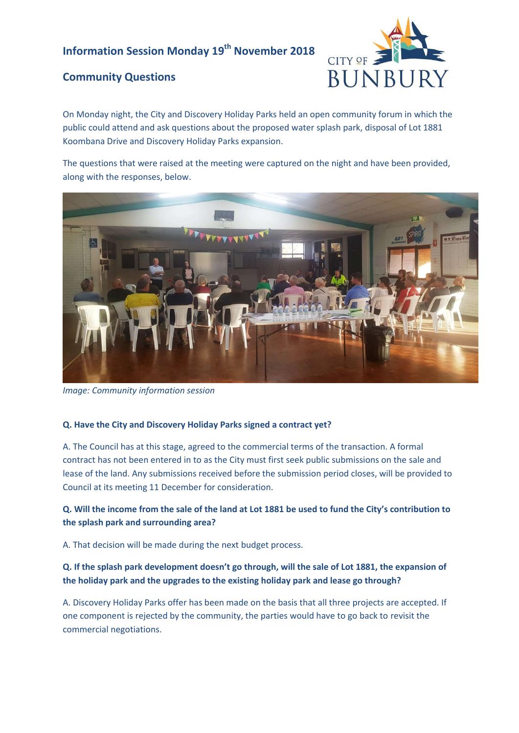# **Information Session Monday 19th November 2018**

## **Community Questions**



On Monday night, the City and Discovery Holiday Parks held an open community forum in which the public could attend and ask questions about the proposed water splash park, disposal of Lot 1881 Koombana Drive and Discovery Holiday Parks expansion.

The questions that were raised at the meeting were captured on the night and have been provided, along with the responses, below.



*Image: Community information session* 

#### **Q. Have the City and Discovery Holiday Parks signed a contract yet?**

A. The Council has at this stage, agreed to the commercial terms of the transaction. A formal contract has not been entered in to as the City must first seek public submissions on the sale and lease of the land. Any submissions received before the submission period closes, will be provided to Council at its meeting 11 December for consideration.

## **Q. Will the income from the sale of the land at Lot 1881 be used to fund the City's contribution to the splash park and surrounding area?**

A. That decision will be made during the next budget process.

## **Q. If the splash park development doesn't go through, will the sale of Lot 1881, the expansion of the holiday park and the upgrades to the existing holiday park and lease go through?**

A. Discovery Holiday Parks offer has been made on the basis that all three projects are accepted. If one component is rejected by the community, the parties would have to go back to revisit the commercial negotiations.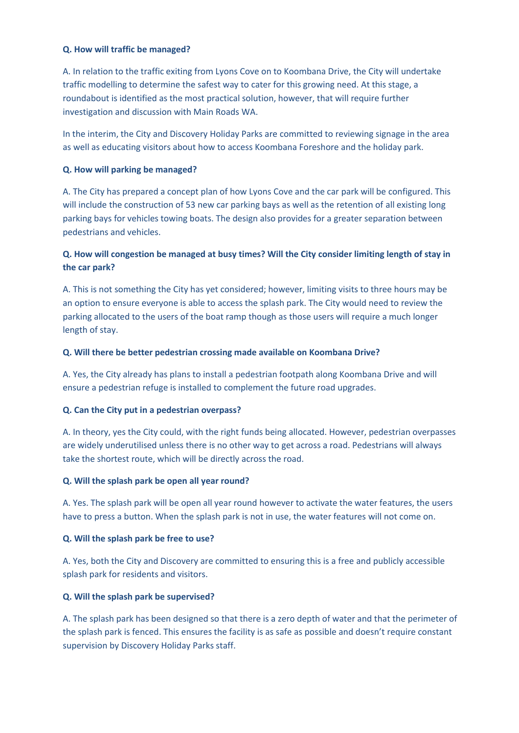#### **Q. How will traffic be managed?**

A. In relation to the traffic exiting from Lyons Cove on to Koombana Drive, the City will undertake traffic modelling to determine the safest way to cater for this growing need. At this stage, a roundabout is identified as the most practical solution, however, that will require further investigation and discussion with Main Roads WA.

In the interim, the City and Discovery Holiday Parks are committed to reviewing signage in the area as well as educating visitors about how to access Koombana Foreshore and the holiday park.

#### **Q. How will parking be managed?**

A. The City has prepared a concept plan of how Lyons Cove and the car park will be configured. This will include the construction of 53 new car parking bays as well as the retention of all existing long parking bays for vehicles towing boats. The design also provides for a greater separation between pedestrians and vehicles.

## **Q. How will congestion be managed at busy times? Will the City consider limiting length of stay in the car park?**

A. This is not something the City has yet considered; however, limiting visits to three hours may be an option to ensure everyone is able to access the splash park. The City would need to review the parking allocated to the users of the boat ramp though as those users will require a much longer length of stay.

#### **Q. Will there be better pedestrian crossing made available on Koombana Drive?**

A. Yes, the City already has plans to install a pedestrian footpath along Koombana Drive and will ensure a pedestrian refuge is installed to complement the future road upgrades.

#### **Q. Can the City put in a pedestrian overpass?**

A. In theory, yes the City could, with the right funds being allocated. However, pedestrian overpasses are widely underutilised unless there is no other way to get across a road. Pedestrians will always take the shortest route, which will be directly across the road.

#### **Q. Will the splash park be open all year round?**

A. Yes. The splash park will be open all year round however to activate the water features, the users have to press a button. When the splash park is not in use, the water features will not come on.

#### **Q. Will the splash park be free to use?**

A. Yes, both the City and Discovery are committed to ensuring this is a free and publicly accessible splash park for residents and visitors.

#### **Q. Will the splash park be supervised?**

A. The splash park has been designed so that there is a zero depth of water and that the perimeter of the splash park is fenced. This ensures the facility is as safe as possible and doesn't require constant supervision by Discovery Holiday Parks staff.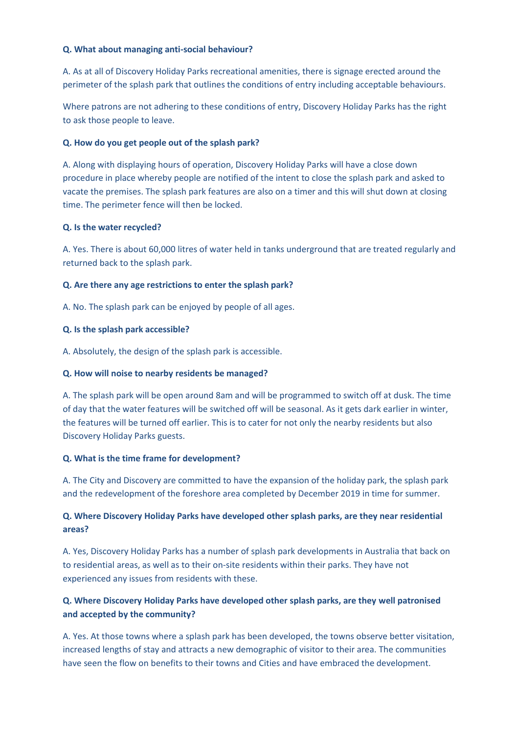#### **Q. What about managing anti-social behaviour?**

A. As at all of Discovery Holiday Parks recreational amenities, there is signage erected around the perimeter of the splash park that outlines the conditions of entry including acceptable behaviours.

Where patrons are not adhering to these conditions of entry, Discovery Holiday Parks has the right to ask those people to leave.

#### **Q. How do you get people out of the splash park?**

A. Along with displaying hours of operation, Discovery Holiday Parks will have a close down procedure in place whereby people are notified of the intent to close the splash park and asked to vacate the premises. The splash park features are also on a timer and this will shut down at closing time. The perimeter fence will then be locked.

#### **Q. Is the water recycled?**

A. Yes. There is about 60,000 litres of water held in tanks underground that are treated regularly and returned back to the splash park.

#### **Q. Are there any age restrictions to enter the splash park?**

A. No. The splash park can be enjoyed by people of all ages.

#### **Q. Is the splash park accessible?**

A. Absolutely, the design of the splash park is accessible.

#### **Q. How will noise to nearby residents be managed?**

A. The splash park will be open around 8am and will be programmed to switch off at dusk. The time of day that the water features will be switched off will be seasonal. As it gets dark earlier in winter, the features will be turned off earlier. This is to cater for not only the nearby residents but also Discovery Holiday Parks guests.

#### **Q. What is the time frame for development?**

A. The City and Discovery are committed to have the expansion of the holiday park, the splash park and the redevelopment of the foreshore area completed by December 2019 in time for summer.

## **Q. Where Discovery Holiday Parks have developed other splash parks, are they near residential areas?**

A. Yes, Discovery Holiday Parks has a number of splash park developments in Australia that back on to residential areas, as well as to their on-site residents within their parks. They have not experienced any issues from residents with these.

## **Q. Where Discovery Holiday Parks have developed other splash parks, are they well patronised and accepted by the community?**

A. Yes. At those towns where a splash park has been developed, the towns observe better visitation, increased lengths of stay and attracts a new demographic of visitor to their area. The communities have seen the flow on benefits to their towns and Cities and have embraced the development.